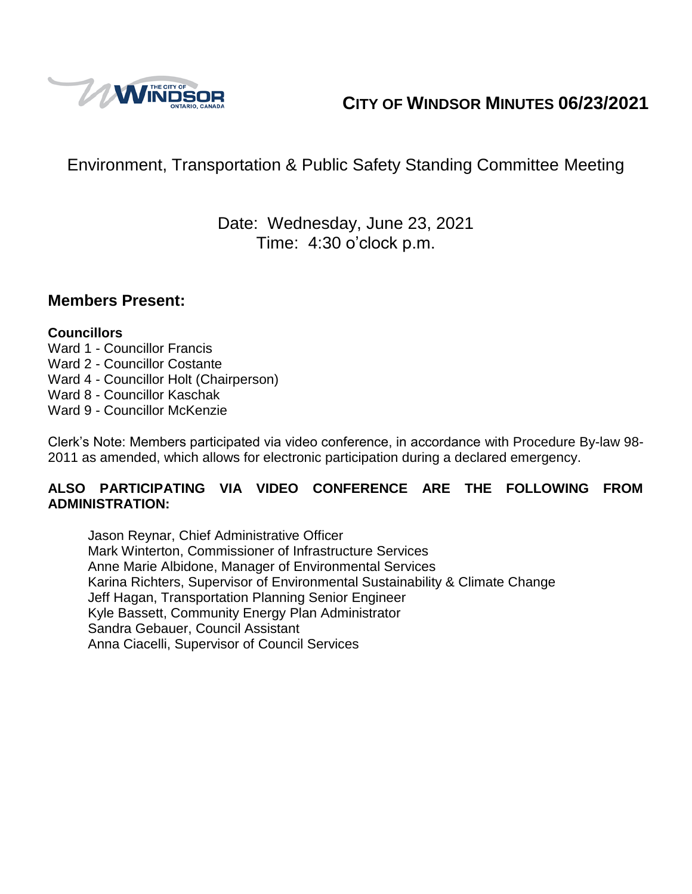

# **CITY OF WINDSOR MINUTES 06/23/2021**

# Environment, Transportation & Public Safety Standing Committee Meeting

## Date: Wednesday, June 23, 2021 Time: 4:30 o'clock p.m.

#### **Members Present:**

#### **Councillors**

- Ward 1 Councillor Francis
- Ward 2 Councillor Costante
- Ward 4 Councillor Holt (Chairperson)
- Ward 8 Councillor Kaschak
- Ward 9 Councillor McKenzie

Clerk's Note: Members participated via video conference, in accordance with Procedure By-law 98- 2011 as amended, which allows for electronic participation during a declared emergency.

#### **ALSO PARTICIPATING VIA VIDEO CONFERENCE ARE THE FOLLOWING FROM ADMINISTRATION:**

Jason Reynar, Chief Administrative Officer Mark Winterton, Commissioner of Infrastructure Services Anne Marie Albidone, Manager of Environmental Services Karina Richters, Supervisor of Environmental Sustainability & Climate Change Jeff Hagan, Transportation Planning Senior Engineer Kyle Bassett, Community Energy Plan Administrator Sandra Gebauer, Council Assistant Anna Ciacelli, Supervisor of Council Services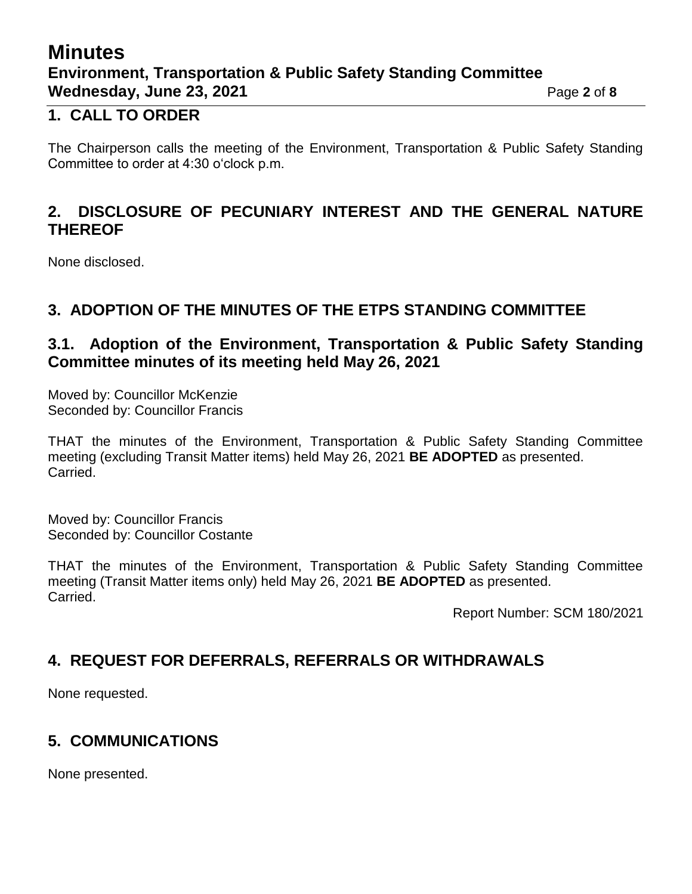# **Minutes Environment, Transportation & Public Safety Standing Committee Wednesday, June 23, 2021 Page 2** of 8

#### **1. CALL TO ORDER**

The Chairperson calls the meeting of the Environment, Transportation & Public Safety Standing Committee to order at 4:30 o'clock p.m.

### **2. DISCLOSURE OF PECUNIARY INTEREST AND THE GENERAL NATURE THEREOF**

None disclosed.

### **3. ADOPTION OF THE MINUTES OF THE ETPS STANDING COMMITTEE**

### **3.1. Adoption of the Environment, Transportation & Public Safety Standing Committee minutes of its meeting held May 26, 2021**

Moved by: Councillor McKenzie Seconded by: Councillor Francis

THAT the minutes of the Environment, Transportation & Public Safety Standing Committee meeting (excluding Transit Matter items) held May 26, 2021 **BE ADOPTED** as presented. Carried.

Moved by: Councillor Francis Seconded by: Councillor Costante

THAT the minutes of the Environment, Transportation & Public Safety Standing Committee meeting (Transit Matter items only) held May 26, 2021 **BE ADOPTED** as presented. Carried.

Report Number: SCM 180/2021

## **4. REQUEST FOR DEFERRALS, REFERRALS OR WITHDRAWALS**

None requested.

## **5. COMMUNICATIONS**

None presented.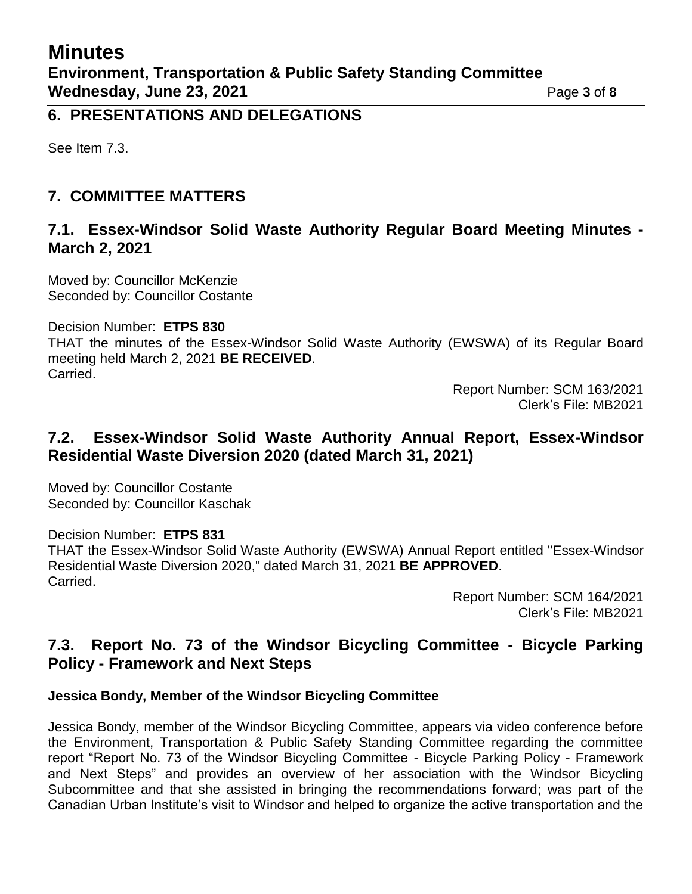#### **6. PRESENTATIONS AND DELEGATIONS**

See Item 7.3.

### **7. COMMITTEE MATTERS**

#### **7.1. Essex-Windsor Solid Waste Authority Regular Board Meeting Minutes - March 2, 2021**

Moved by: Councillor McKenzie Seconded by: Councillor Costante

Decision Number: **ETPS 830**

THAT the minutes of the Essex-Windsor Solid Waste Authority (EWSWA) of its Regular Board meeting held March 2, 2021 **BE RECEIVED**. Carried.

> Report Number: SCM 163/2021 Clerk's File: MB2021

#### **7.2. Essex-Windsor Solid Waste Authority Annual Report, Essex-Windsor Residential Waste Diversion 2020 (dated March 31, 2021)**

Moved by: Councillor Costante Seconded by: Councillor Kaschak

Decision Number: **ETPS 831**

THAT the Essex-Windsor Solid Waste Authority (EWSWA) Annual Report entitled "Essex-Windsor Residential Waste Diversion 2020," dated March 31, 2021 **BE APPROVED**. Carried.

Report Number: SCM 164/2021 Clerk's File: MB2021

### **7.3. Report No. 73 of the Windsor Bicycling Committee - Bicycle Parking Policy - Framework and Next Steps**

#### **Jessica Bondy, Member of the Windsor Bicycling Committee**

Jessica Bondy, member of the Windsor Bicycling Committee, appears via video conference before the Environment, Transportation & Public Safety Standing Committee regarding the committee report "Report No. 73 of the Windsor Bicycling Committee - Bicycle Parking Policy - Framework and Next Steps" and provides an overview of her association with the Windsor Bicycling Subcommittee and that she assisted in bringing the recommendations forward; was part of the Canadian Urban Institute's visit to Windsor and helped to organize the active transportation and the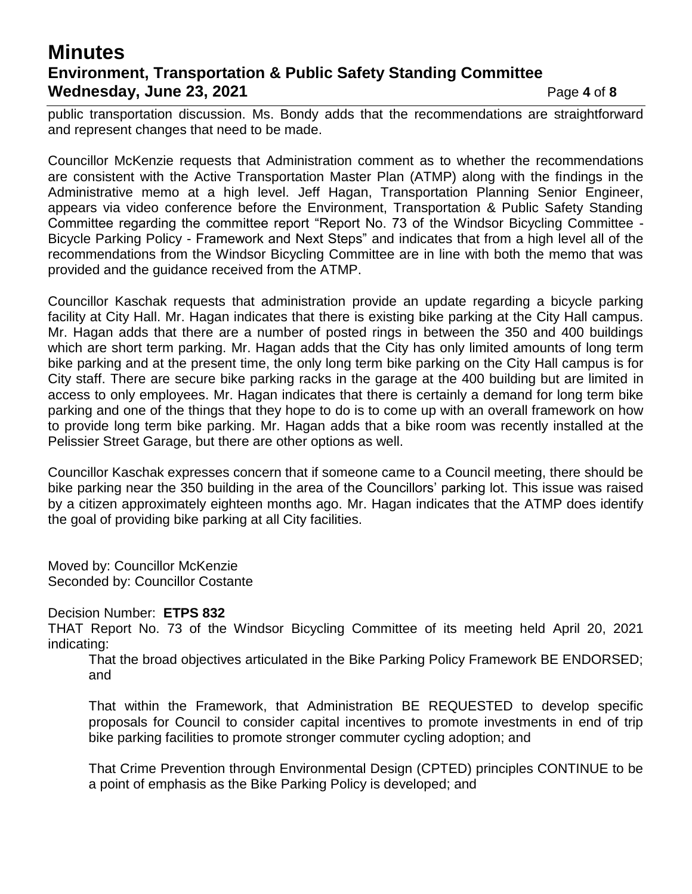## **Minutes Environment, Transportation & Public Safety Standing Committee Wednesday, June 23, 2021 Page 4** of 8

public transportation discussion. Ms. Bondy adds that the recommendations are straightforward and represent changes that need to be made.

Councillor McKenzie requests that Administration comment as to whether the recommendations are consistent with the Active Transportation Master Plan (ATMP) along with the findings in the Administrative memo at a high level. Jeff Hagan, Transportation Planning Senior Engineer, appears via video conference before the Environment, Transportation & Public Safety Standing Committee regarding the committee report "Report No. 73 of the Windsor Bicycling Committee - Bicycle Parking Policy - Framework and Next Steps" and indicates that from a high level all of the recommendations from the Windsor Bicycling Committee are in line with both the memo that was provided and the guidance received from the ATMP.

Councillor Kaschak requests that administration provide an update regarding a bicycle parking facility at City Hall. Mr. Hagan indicates that there is existing bike parking at the City Hall campus. Mr. Hagan adds that there are a number of posted rings in between the 350 and 400 buildings which are short term parking. Mr. Hagan adds that the City has only limited amounts of long term bike parking and at the present time, the only long term bike parking on the City Hall campus is for City staff. There are secure bike parking racks in the garage at the 400 building but are limited in access to only employees. Mr. Hagan indicates that there is certainly a demand for long term bike parking and one of the things that they hope to do is to come up with an overall framework on how to provide long term bike parking. Mr. Hagan adds that a bike room was recently installed at the Pelissier Street Garage, but there are other options as well.

Councillor Kaschak expresses concern that if someone came to a Council meeting, there should be bike parking near the 350 building in the area of the Councillors' parking lot. This issue was raised by a citizen approximately eighteen months ago. Mr. Hagan indicates that the ATMP does identify the goal of providing bike parking at all City facilities.

Moved by: Councillor McKenzie Seconded by: Councillor Costante

Decision Number: **ETPS 832**

THAT Report No. 73 of the Windsor Bicycling Committee of its meeting held April 20, 2021 indicating:

That the broad objectives articulated in the Bike Parking Policy Framework BE ENDORSED; and

That within the Framework, that Administration BE REQUESTED to develop specific proposals for Council to consider capital incentives to promote investments in end of trip bike parking facilities to promote stronger commuter cycling adoption; and

That Crime Prevention through Environmental Design (CPTED) principles CONTINUE to be a point of emphasis as the Bike Parking Policy is developed; and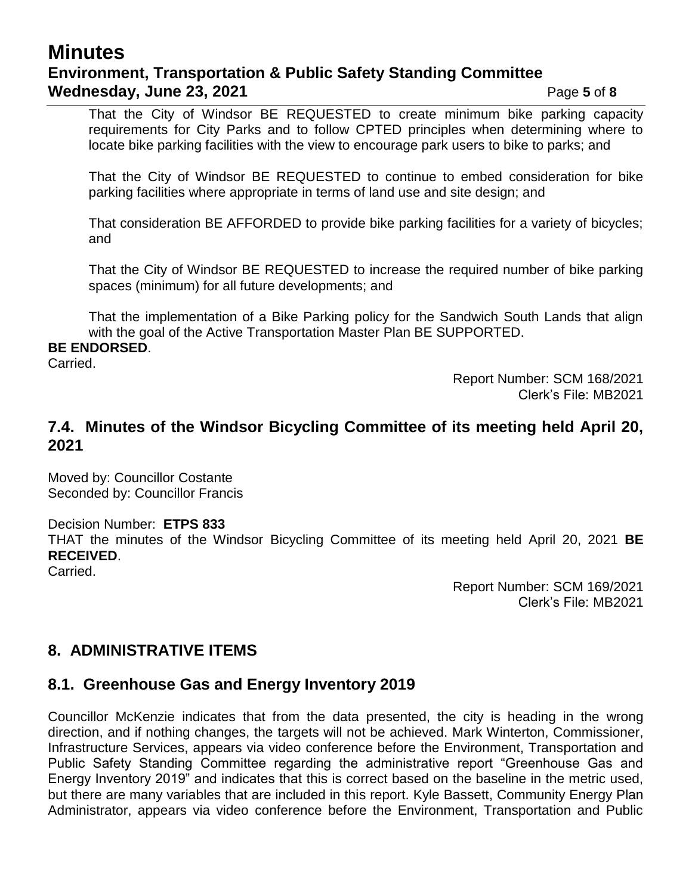## **Minutes Environment, Transportation & Public Safety Standing Committee Wednesday, June 23, 2021 Page 5** of 8

That the City of Windsor BE REQUESTED to create minimum bike parking capacity requirements for City Parks and to follow CPTED principles when determining where to locate bike parking facilities with the view to encourage park users to bike to parks; and

That the City of Windsor BE REQUESTED to continue to embed consideration for bike parking facilities where appropriate in terms of land use and site design; and

That consideration BE AFFORDED to provide bike parking facilities for a variety of bicycles; and

That the City of Windsor BE REQUESTED to increase the required number of bike parking spaces (minimum) for all future developments; and

That the implementation of a Bike Parking policy for the Sandwich South Lands that align with the goal of the Active Transportation Master Plan BE SUPPORTED.

#### **BE ENDORSED**.

Carried.

Report Number: SCM 168/2021 Clerk's File: MB2021

#### **7.4. Minutes of the Windsor Bicycling Committee of its meeting held April 20, 2021**

Moved by: Councillor Costante Seconded by: Councillor Francis

Decision Number: **ETPS 833**

THAT the minutes of the Windsor Bicycling Committee of its meeting held April 20, 2021 **BE RECEIVED**.

Carried.

Report Number: SCM 169/2021 Clerk's File: MB2021

### **8. ADMINISTRATIVE ITEMS**

### **8.1. Greenhouse Gas and Energy Inventory 2019**

Councillor McKenzie indicates that from the data presented, the city is heading in the wrong direction, and if nothing changes, the targets will not be achieved. Mark Winterton, Commissioner, Infrastructure Services, appears via video conference before the Environment, Transportation and Public Safety Standing Committee regarding the administrative report "Greenhouse Gas and Energy Inventory 2019" and indicates that this is correct based on the baseline in the metric used, but there are many variables that are included in this report. Kyle Bassett, Community Energy Plan Administrator, appears via video conference before the Environment, Transportation and Public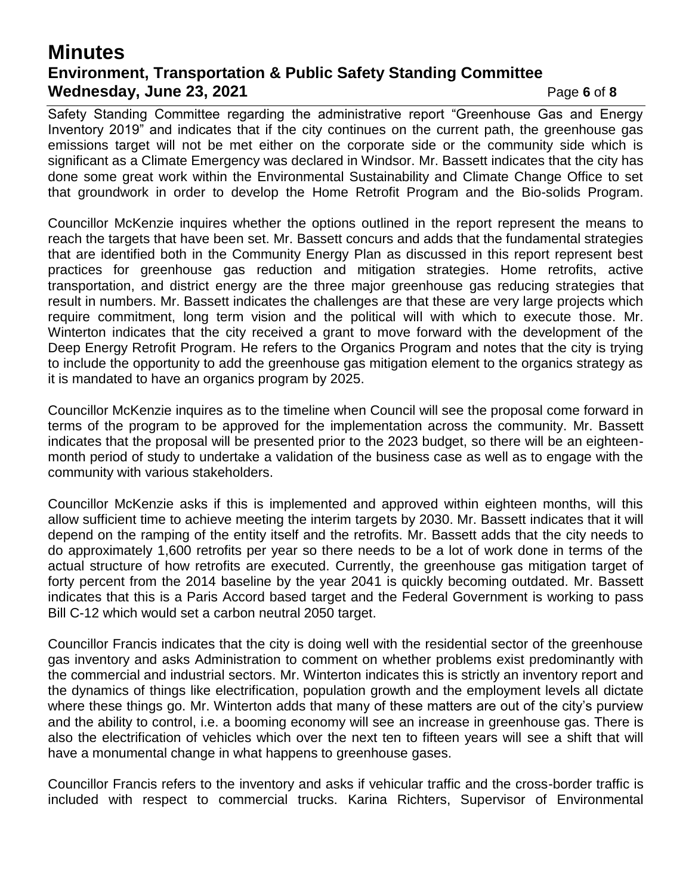## **Minutes Environment, Transportation & Public Safety Standing Committee Wednesday, June 23, 2021 Page 6** of 8

Safety Standing Committee regarding the administrative report "Greenhouse Gas and Energy Inventory 2019" and indicates that if the city continues on the current path, the greenhouse gas emissions target will not be met either on the corporate side or the community side which is significant as a Climate Emergency was declared in Windsor. Mr. Bassett indicates that the city has done some great work within the Environmental Sustainability and Climate Change Office to set that groundwork in order to develop the Home Retrofit Program and the Bio-solids Program.

Councillor McKenzie inquires whether the options outlined in the report represent the means to reach the targets that have been set. Mr. Bassett concurs and adds that the fundamental strategies that are identified both in the Community Energy Plan as discussed in this report represent best practices for greenhouse gas reduction and mitigation strategies. Home retrofits, active transportation, and district energy are the three major greenhouse gas reducing strategies that result in numbers. Mr. Bassett indicates the challenges are that these are very large projects which require commitment, long term vision and the political will with which to execute those. Mr. Winterton indicates that the city received a grant to move forward with the development of the Deep Energy Retrofit Program. He refers to the Organics Program and notes that the city is trying to include the opportunity to add the greenhouse gas mitigation element to the organics strategy as it is mandated to have an organics program by 2025.

Councillor McKenzie inquires as to the timeline when Council will see the proposal come forward in terms of the program to be approved for the implementation across the community. Mr. Bassett indicates that the proposal will be presented prior to the 2023 budget, so there will be an eighteenmonth period of study to undertake a validation of the business case as well as to engage with the community with various stakeholders.

Councillor McKenzie asks if this is implemented and approved within eighteen months, will this allow sufficient time to achieve meeting the interim targets by 2030. Mr. Bassett indicates that it will depend on the ramping of the entity itself and the retrofits. Mr. Bassett adds that the city needs to do approximately 1,600 retrofits per year so there needs to be a lot of work done in terms of the actual structure of how retrofits are executed. Currently, the greenhouse gas mitigation target of forty percent from the 2014 baseline by the year 2041 is quickly becoming outdated. Mr. Bassett indicates that this is a Paris Accord based target and the Federal Government is working to pass Bill C-12 which would set a carbon neutral 2050 target.

Councillor Francis indicates that the city is doing well with the residential sector of the greenhouse gas inventory and asks Administration to comment on whether problems exist predominantly with the commercial and industrial sectors. Mr. Winterton indicates this is strictly an inventory report and the dynamics of things like electrification, population growth and the employment levels all dictate where these things go. Mr. Winterton adds that many of these matters are out of the city's purview and the ability to control, i.e. a booming economy will see an increase in greenhouse gas. There is also the electrification of vehicles which over the next ten to fifteen years will see a shift that will have a monumental change in what happens to greenhouse gases.

Councillor Francis refers to the inventory and asks if vehicular traffic and the cross-border traffic is included with respect to commercial trucks. Karina Richters, Supervisor of Environmental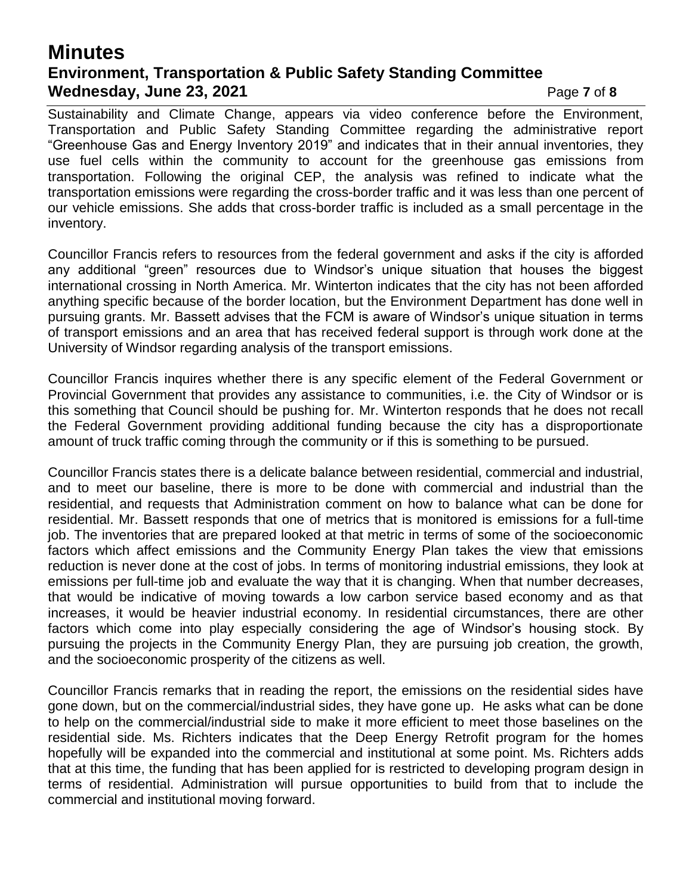## **Minutes Environment, Transportation & Public Safety Standing Committee Wednesday, June 23, 2021 Page 7** of 8

Sustainability and Climate Change, appears via video conference before the Environment, Transportation and Public Safety Standing Committee regarding the administrative report "Greenhouse Gas and Energy Inventory 2019" and indicates that in their annual inventories, they use fuel cells within the community to account for the greenhouse gas emissions from transportation. Following the original CEP, the analysis was refined to indicate what the transportation emissions were regarding the cross-border traffic and it was less than one percent of our vehicle emissions. She adds that cross-border traffic is included as a small percentage in the inventory.

Councillor Francis refers to resources from the federal government and asks if the city is afforded any additional "green" resources due to Windsor's unique situation that houses the biggest international crossing in North America. Mr. Winterton indicates that the city has not been afforded anything specific because of the border location, but the Environment Department has done well in pursuing grants. Mr. Bassett advises that the FCM is aware of Windsor's unique situation in terms of transport emissions and an area that has received federal support is through work done at the University of Windsor regarding analysis of the transport emissions.

Councillor Francis inquires whether there is any specific element of the Federal Government or Provincial Government that provides any assistance to communities, i.e. the City of Windsor or is this something that Council should be pushing for. Mr. Winterton responds that he does not recall the Federal Government providing additional funding because the city has a disproportionate amount of truck traffic coming through the community or if this is something to be pursued.

Councillor Francis states there is a delicate balance between residential, commercial and industrial, and to meet our baseline, there is more to be done with commercial and industrial than the residential, and requests that Administration comment on how to balance what can be done for residential. Mr. Bassett responds that one of metrics that is monitored is emissions for a full-time job. The inventories that are prepared looked at that metric in terms of some of the socioeconomic factors which affect emissions and the Community Energy Plan takes the view that emissions reduction is never done at the cost of jobs. In terms of monitoring industrial emissions, they look at emissions per full-time job and evaluate the way that it is changing. When that number decreases, that would be indicative of moving towards a low carbon service based economy and as that increases, it would be heavier industrial economy. In residential circumstances, there are other factors which come into play especially considering the age of Windsor's housing stock. By pursuing the projects in the Community Energy Plan, they are pursuing job creation, the growth, and the socioeconomic prosperity of the citizens as well.

Councillor Francis remarks that in reading the report, the emissions on the residential sides have gone down, but on the commercial/industrial sides, they have gone up. He asks what can be done to help on the commercial/industrial side to make it more efficient to meet those baselines on the residential side. Ms. Richters indicates that the Deep Energy Retrofit program for the homes hopefully will be expanded into the commercial and institutional at some point. Ms. Richters adds that at this time, the funding that has been applied for is restricted to developing program design in terms of residential. Administration will pursue opportunities to build from that to include the commercial and institutional moving forward.